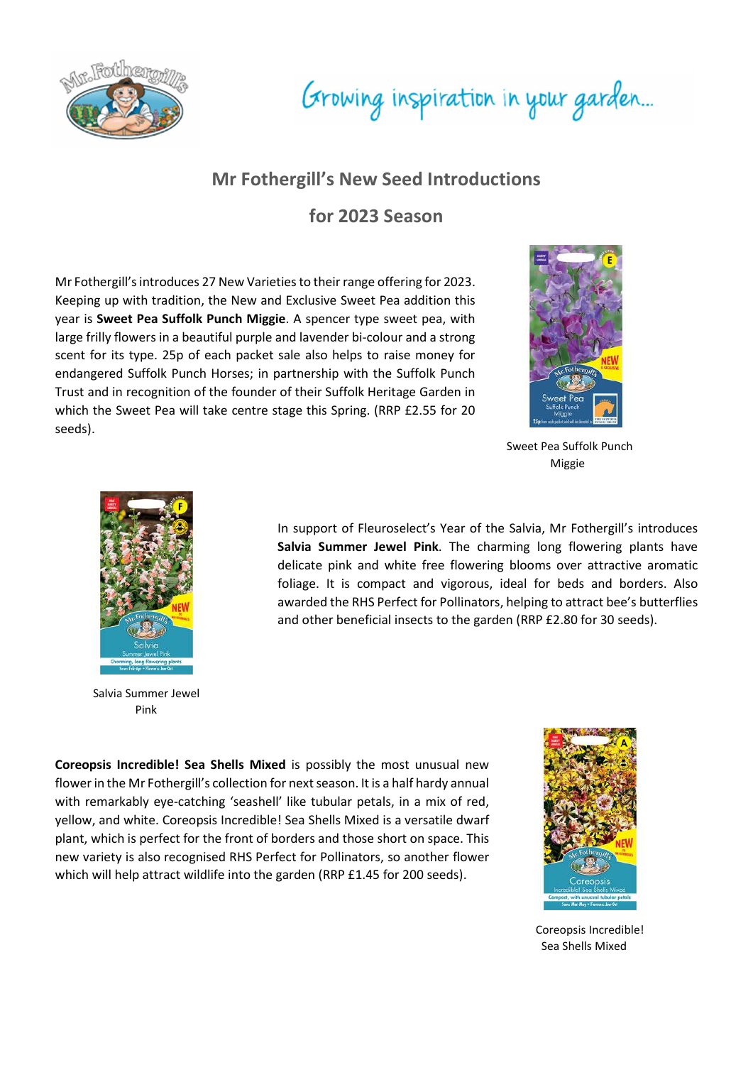

## Growing inspiration in your garden...

## Mr Fothergill's New Seed Introductions

for 2023 Season

Mr Fothergill's introduces 27 New Varieties to their range offering for 2023. Keeping up with tradition, the New and Exclusive Sweet Pea addition this year is Sweet Pea Suffolk Punch Miggie. A spencer type sweet pea, with large frilly flowers in a beautiful purple and lavender bi-colour and a strong scent for its type. 25p of each packet sale also helps to raise money for endangered Suffolk Punch Horses; in partnership with the Suffolk Punch Trust and in recognition of the founder of their Suffolk Heritage Garden in which the Sweet Pea will take centre stage this Spring. (RRP £2.55 for 20 seeds).



 Sweet Pea Suffolk Punch Miggie



 Salvia Summer Jewel Pink

In support of Fleuroselect's Year of the Salvia, Mr Fothergill's introduces Salvia Summer Jewel Pink. The charming long flowering plants have delicate pink and white free flowering blooms over attractive aromatic foliage. It is compact and vigorous, ideal for beds and borders. Also awarded the RHS Perfect for Pollinators, helping to attract bee's butterflies and other beneficial insects to the garden (RRP £2.80 for 30 seeds).

Coreopsis Incredible! Sea Shells Mixed is possibly the most unusual new flower in the Mr Fothergill's collection for next season. It is a half hardy annual with remarkably eye-catching 'seashell' like tubular petals, in a mix of red, yellow, and white. Coreopsis Incredible! Sea Shells Mixed is a versatile dwarf plant, which is perfect for the front of borders and those short on space. This new variety is also recognised RHS Perfect for Pollinators, so another flower which will help attract wildlife into the garden (RRP £1.45 for 200 seeds).



 Coreopsis Incredible! Sea Shells Mixed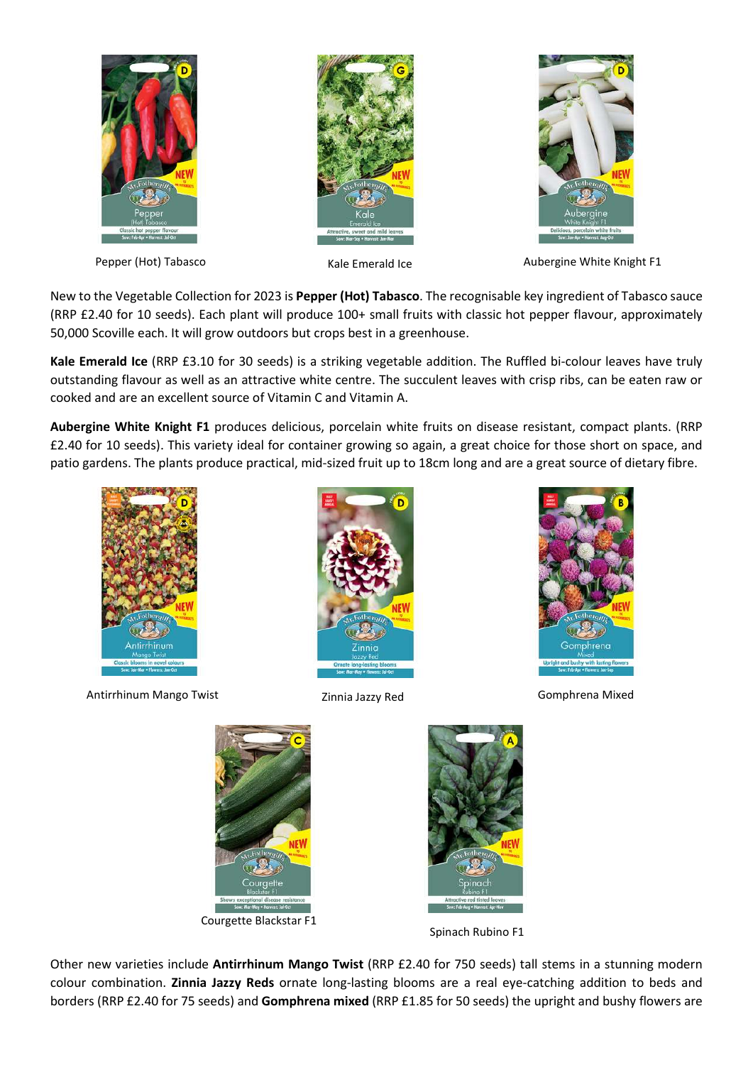



Pepper (Hot) Tabasco **Kale Emerald Ice** Aubergine White Knight F1

New to the Vegetable Collection for 2023 is Pepper (Hot) Tabasco. The recognisable key ingredient of Tabasco sauce (RRP £2.40 for 10 seeds). Each plant will produce 100+ small fruits with classic hot pepper flavour, approximately 50,000 Scoville each. It will grow outdoors but crops best in a greenhouse.

Kale Emerald Ice (RRP £3.10 for 30 seeds) is a striking vegetable addition. The Ruffled bi-colour leaves have truly outstanding flavour as well as an attractive white centre. The succulent leaves with crisp ribs, can be eaten raw or cooked and are an excellent source of Vitamin C and Vitamin A.

Aubergine White Knight F1 produces delicious, porcelain white fruits on disease resistant, compact plants. (RRP £2.40 for 10 seeds). This variety ideal for container growing so again, a great choice for those short on space, and patio gardens. The plants produce practical, mid-sized fruit up to 18cm long and are a great source of dietary fibre.



Antirrhinum Mango Twist **Zinnia Jazzy Red** Gomphrena Mixed







Courgette Blackstar F1



Spinach Rubino F1

Other new varieties include Antirrhinum Mango Twist (RRP £2.40 for 750 seeds) tall stems in a stunning modern colour combination. Zinnia Jazzy Reds ornate long-lasting blooms are a real eye-catching addition to beds and borders (RRP £2.40 for 75 seeds) and Gomphrena mixed (RRP £1.85 for 50 seeds) the upright and bushy flowers are